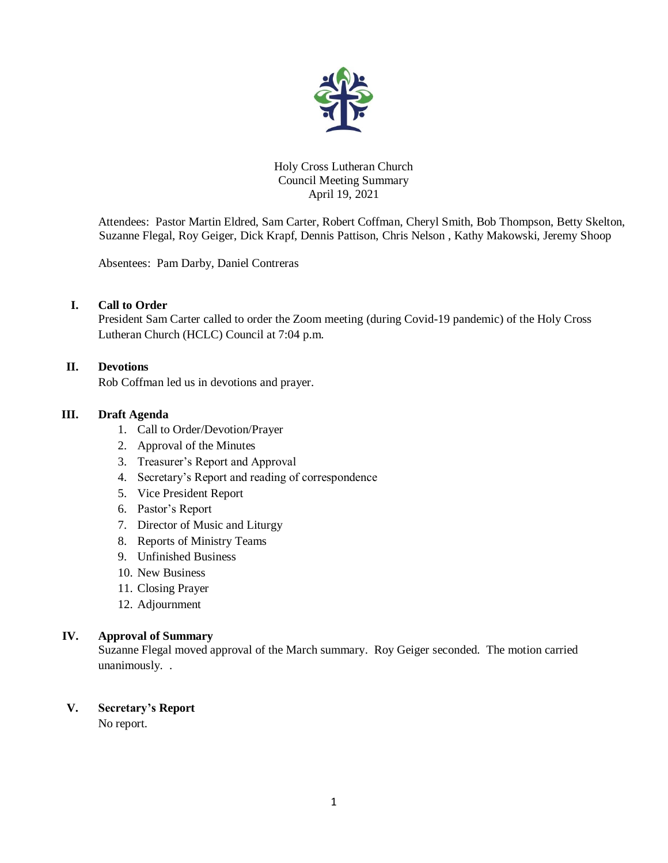

## Holy Cross Lutheran Church Council Meeting Summary April 19, 2021

Attendees: Pastor Martin Eldred, Sam Carter, Robert Coffman, Cheryl Smith, Bob Thompson, Betty Skelton, Suzanne Flegal, Roy Geiger, Dick Krapf, Dennis Pattison, Chris Nelson , Kathy Makowski, Jeremy Shoop

Absentees: Pam Darby, Daniel Contreras

## **I. Call to Order**

President Sam Carter called to order the Zoom meeting (during Covid-19 pandemic) of the Holy Cross Lutheran Church (HCLC) Council at 7:04 p.m.

## **II. Devotions**

Rob Coffman led us in devotions and prayer.

## **III. Draft Agenda**

- 1. Call to Order/Devotion/Prayer
- 2. Approval of the Minutes
- 3. Treasurer's Report and Approval
- 4. Secretary's Report and reading of correspondence
- 5. Vice President Report
- 6. Pastor's Report
- 7. Director of Music and Liturgy
- 8. Reports of Ministry Teams
- 9. Unfinished Business
- 10. New Business
- 11. Closing Prayer
- 12. Adjournment

## **IV. Approval of Summary**

Suzanne Flegal moved approval of the March summary. Roy Geiger seconded. The motion carried unanimously. .

# **V. Secretary's Report**

No report.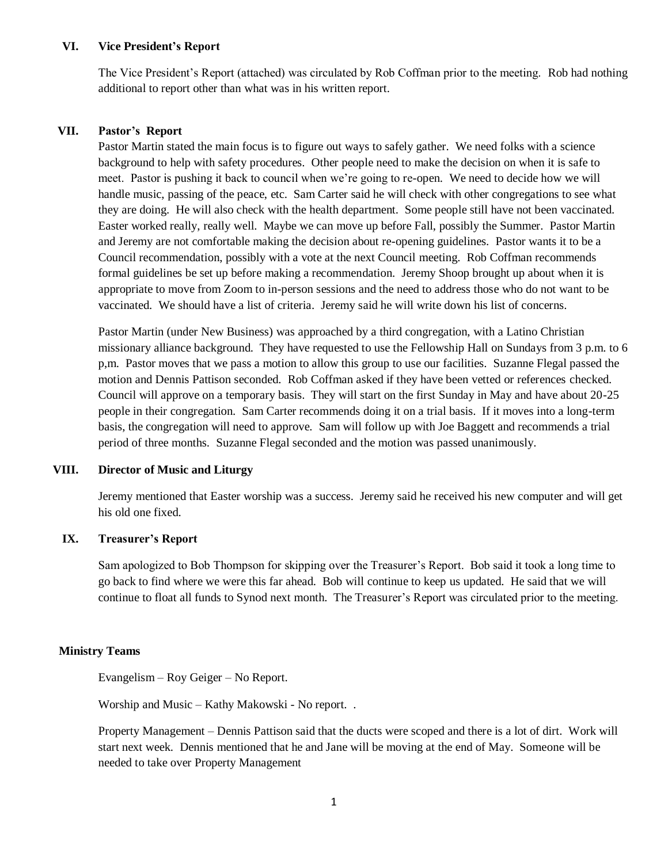### **VI. Vice President's Report**

The Vice President's Report (attached) was circulated by Rob Coffman prior to the meeting.Rob had nothing additional to report other than what was in his written report.

### **VII. Pastor's Report**

Pastor Martin stated the main focus is to figure out ways to safely gather. We need folks with a science background to help with safety procedures. Other people need to make the decision on when it is safe to meet. Pastor is pushing it back to council when we're going to re-open. We need to decide how we will handle music, passing of the peace, etc. Sam Carter said he will check with other congregations to see what they are doing. He will also check with the health department. Some people still have not been vaccinated. Easter worked really, really well. Maybe we can move up before Fall, possibly the Summer. Pastor Martin and Jeremy are not comfortable making the decision about re-opening guidelines. Pastor wants it to be a Council recommendation, possibly with a vote at the next Council meeting. Rob Coffman recommends formal guidelines be set up before making a recommendation. Jeremy Shoop brought up about when it is appropriate to move from Zoom to in-person sessions and the need to address those who do not want to be vaccinated. We should have a list of criteria. Jeremy said he will write down his list of concerns.

Pastor Martin (under New Business) was approached by a third congregation, with a Latino Christian missionary alliance background. They have requested to use the Fellowship Hall on Sundays from 3 p.m. to 6 p,m. Pastor moves that we pass a motion to allow this group to use our facilities. Suzanne Flegal passed the motion and Dennis Pattison seconded. Rob Coffman asked if they have been vetted or references checked. Council will approve on a temporary basis. They will start on the first Sunday in May and have about 20-25 people in their congregation. Sam Carter recommends doing it on a trial basis. If it moves into a long-term basis, the congregation will need to approve. Sam will follow up with Joe Baggett and recommends a trial period of three months. Suzanne Flegal seconded and the motion was passed unanimously.

### **VIII. Director of Music and Liturgy**

Jeremy mentioned that Easter worship was a success. Jeremy said he received his new computer and will get his old one fixed.

## **IX. Treasurer's Report**

Sam apologized to Bob Thompson for skipping over the Treasurer's Report. Bob said it took a long time to go back to find where we were this far ahead. Bob will continue to keep us updated. He said that we will continue to float all funds to Synod next month. The Treasurer's Report was circulated prior to the meeting.

### **Ministry Teams**

Evangelism – Roy Geiger – No Report.

Worship and Music – Kathy Makowski - No report. .

Property Management – Dennis Pattison said that the ducts were scoped and there is a lot of dirt. Work will start next week. Dennis mentioned that he and Jane will be moving at the end of May. Someone will be needed to take over Property Management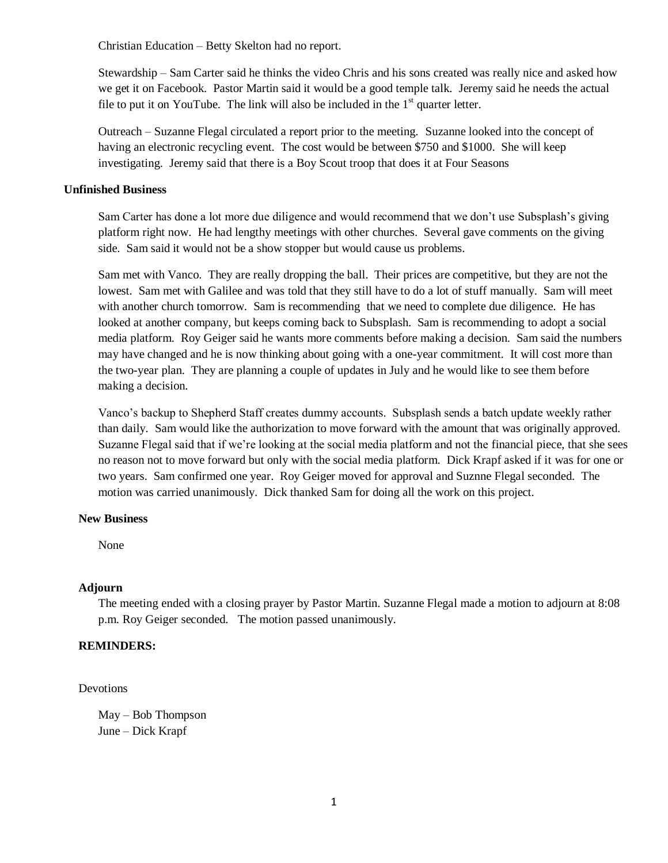Christian Education – Betty Skelton had no report.

Stewardship – Sam Carter said he thinks the video Chris and his sons created was really nice and asked how we get it on Facebook. Pastor Martin said it would be a good temple talk. Jeremy said he needs the actual file to put it on YouTube. The link will also be included in the  $1<sup>st</sup>$  quarter letter.

Outreach – Suzanne Flegal circulated a report prior to the meeting. Suzanne looked into the concept of having an electronic recycling event. The cost would be between \$750 and \$1000. She will keep investigating. Jeremy said that there is a Boy Scout troop that does it at Four Seasons

### **Unfinished Business**

Sam Carter has done a lot more due diligence and would recommend that we don't use Subsplash's giving platform right now. He had lengthy meetings with other churches. Several gave comments on the giving side. Sam said it would not be a show stopper but would cause us problems.

Sam met with Vanco. They are really dropping the ball. Their prices are competitive, but they are not the lowest. Sam met with Galilee and was told that they still have to do a lot of stuff manually. Sam will meet with another church tomorrow. Sam is recommending that we need to complete due diligence. He has looked at another company, but keeps coming back to Subsplash. Sam is recommending to adopt a social media platform. Roy Geiger said he wants more comments before making a decision. Sam said the numbers may have changed and he is now thinking about going with a one-year commitment. It will cost more than the two-year plan. They are planning a couple of updates in July and he would like to see them before making a decision.

Vanco's backup to Shepherd Staff creates dummy accounts. Subsplash sends a batch update weekly rather than daily. Sam would like the authorization to move forward with the amount that was originally approved. Suzanne Flegal said that if we're looking at the social media platform and not the financial piece, that she sees no reason not to move forward but only with the social media platform. Dick Krapf asked if it was for one or two years. Sam confirmed one year. Roy Geiger moved for approval and Suznne Flegal seconded. The motion was carried unanimously. Dick thanked Sam for doing all the work on this project.

### **New Business**

None

## **Adjourn**

The meeting ended with a closing prayer by Pastor Martin. Suzanne Flegal made a motion to adjourn at 8:08 p.m. Roy Geiger seconded. The motion passed unanimously.

## **REMINDERS:**

Devotions

May – Bob Thompson June – Dick Krapf